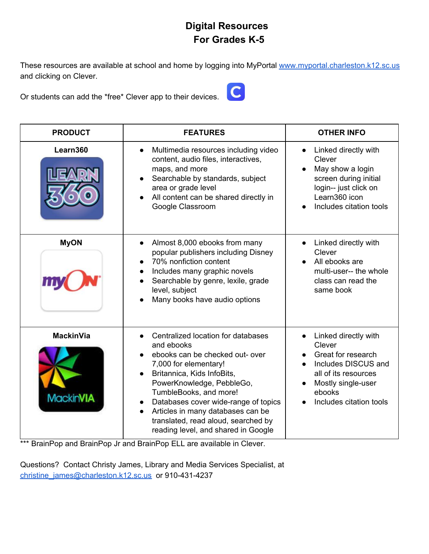## **Digital Resources For Grades K-5**

These resources are available at school and home by logging into MyPortal [www.myportal.charleston.k12.sc.us](http://www.myportal.charleston.k12.sc.us/) and clicking on Clever.

Or students can add the \*free\* Clever app to their devices.



| <b>PRODUCT</b>                       | <b>FEATURES</b>                                                                                                                                                                                                                                                                                                                                              | <b>OTHER INFO</b>                                                                                                                                              |
|--------------------------------------|--------------------------------------------------------------------------------------------------------------------------------------------------------------------------------------------------------------------------------------------------------------------------------------------------------------------------------------------------------------|----------------------------------------------------------------------------------------------------------------------------------------------------------------|
| Learn360                             | Multimedia resources including video<br>content, audio files, interactives,<br>maps, and more<br>Searchable by standards, subject<br>area or grade level<br>All content can be shared directly in<br>Google Classroom                                                                                                                                        | Linked directly with<br>Clever<br>May show a login<br>screen during initial<br>login-- just click on<br>Learn360 icon<br>Includes citation tools               |
| <b>MyON</b>                          | Almost 8,000 ebooks from many<br>popular publishers including Disney<br>70% nonfiction content<br>Includes many graphic novels<br>Searchable by genre, lexile, grade<br>level, subject<br>Many books have audio options                                                                                                                                      | Linked directly with<br>Clever<br>All ebooks are<br>multi-user-- the whole<br>class can read the<br>same book                                                  |
| <b>MackinVia</b><br><b>MackinVIA</b> | Centralized location for databases<br>and ebooks<br>ebooks can be checked out- over<br>7,000 for elementary!<br>Britannica, Kids InfoBits,<br>PowerKnowledge, PebbleGo,<br>TumbleBooks, and more!<br>Databases cover wide-range of topics<br>Articles in many databases can be<br>translated, read aloud, searched by<br>reading level, and shared in Google | Linked directly with<br>Clever<br>Great for research<br>Includes DISCUS and<br>all of its resources<br>Mostly single-user<br>ebooks<br>Includes citation tools |

\*\*\* BrainPop and BrainPop Jr and BrainPop ELL are available in Clever.

Questions? Contact Christy James, Library and Media Services Specialist, at [christine\\_james@charleston.k12.sc.us](mailto:christine_james@charleston.k12.sc.us) or 910-431-4237